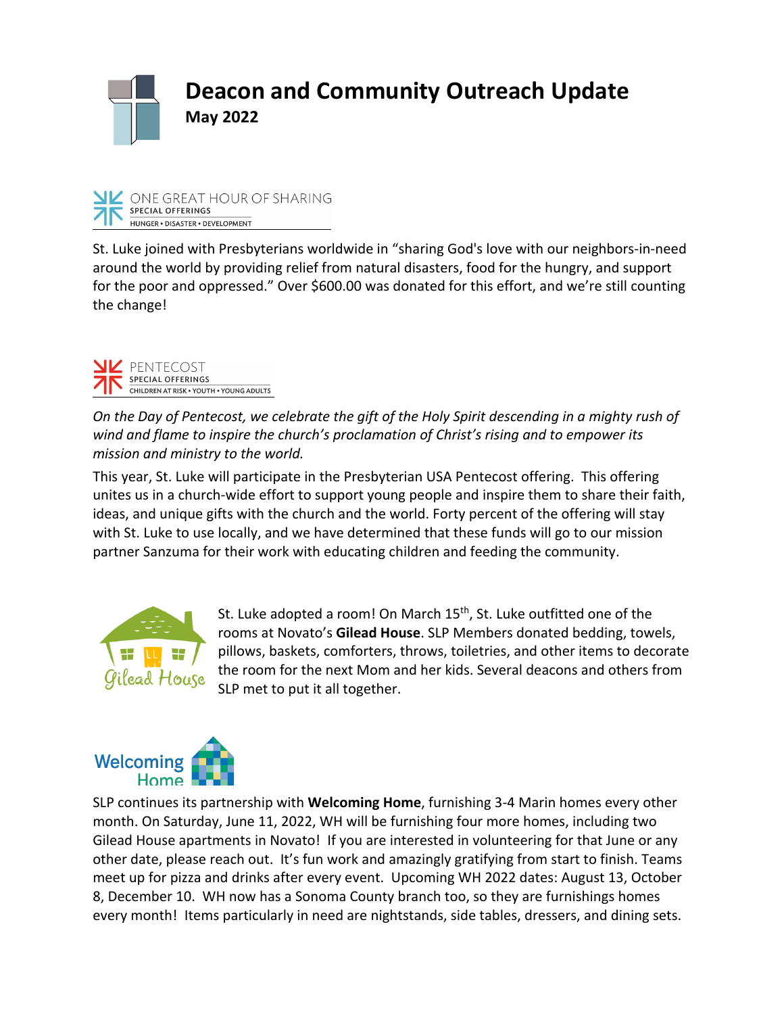



St. Luke joined with Presbyterians worldwide in "sharing God's love with our neighbors-in-need around the world by providing relief from natural disasters, food for the hungry, and support for the poor and oppressed." Over \$600.00 was donated for this effort, and we're still counting the change!



*On the Day of Pentecost, we celebrate the gift of the Holy Spirit descending in a mighty rush of wind and flame to inspire the church's proclamation of Christ's rising and to empower its mission and ministry to the world.*

This year, St. Luke will participate in the Presbyterian USA Pentecost offering. This offering unites us in a church-wide effort to support young people and inspire them to share their faith, ideas, and unique gifts with the church and the world. Forty percent of the offering will stay with St. Luke to use locally, and we have determined that these funds will go to our mission partner Sanzuma for their work with educating children and feeding the community.



St. Luke adopted a room! On March 15<sup>th</sup>, St. Luke outfitted one of the rooms at Novato's **Gilead House**. SLP Members donated bedding, towels, pillows, baskets, comforters, throws, toiletries, and other items to decorate the room for the next Mom and her kids. Several deacons and others from SLP met to put it all together.



SLP continues its partnership with **Welcoming Home**, furnishing 3-4 Marin homes every other month. On Saturday, June 11, 2022, WH will be furnishing four more homes, including two Gilead House apartments in Novato! If you are interested in volunteering for that June or any other date, please reach out. It's fun work and amazingly gratifying from start to finish. Teams meet up for pizza and drinks after every event. Upcoming WH 2022 dates: August 13, October 8, December 10. WH now has a Sonoma County branch too, so they are furnishings homes every month! Items particularly in need are nightstands, side tables, dressers, and dining sets.